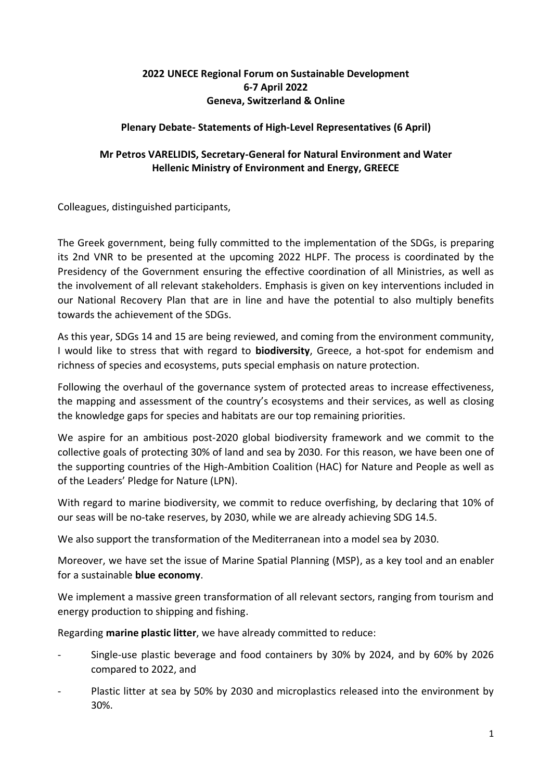## **2022 UNECE Regional Forum on Sustainable Development 6-7 April 2022 Geneva, Switzerland & Online**

## **Plenary Debate- Statements of High-Level Representatives (6 April)**

## **Mr Petros VARELIDIS, Secretary-General for Natural Environment and Water Hellenic Ministry of Environment and Energy, GREECE**

Colleagues, distinguished participants,

The Greek government, being fully committed to the implementation of the SDGs, is preparing its 2nd VNR to be presented at the upcoming 2022 HLPF. The process is coordinated by the Presidency of the Government ensuring the effective coordination of all Ministries, as well as the involvement of all relevant stakeholders. Emphasis is given on key interventions included in our National Recovery Plan that are in line and have the potential to also multiply benefits towards the achievement of the SDGs.

As this year, SDGs 14 and 15 are being reviewed, and coming from the environment community, I would like to stress that with regard to **biodiversity**, Greece, a hot-spot for endemism and richness of species and ecosystems, puts special emphasis on nature protection.

Following the overhaul of the governance system of protected areas to increase effectiveness, the mapping and assessment of the country's ecosystems and their services, as well as closing the knowledge gaps for species and habitats are our top remaining priorities.

We aspire for an ambitious post-2020 global biodiversity framework and we commit to the collective goals of protecting 30% of land and sea by 2030. For this reason, we have been one of the supporting countries of the High-Ambition Coalition (HAC) for Nature and People as well as of the Leaders' Pledge for Nature (LPN).

With regard to marine biodiversity, we commit to reduce overfishing, by declaring that 10% of our seas will be no-take reserves, by 2030, while we are already achieving SDG 14.5.

We also support the transformation of the Mediterranean into a model sea by 2030.

Moreover, we have set the issue of Marine Spatial Planning (MSP), as a key tool and an enabler for a sustainable **blue economy**.

We implement a massive green transformation of all relevant sectors, ranging from tourism and energy production to shipping and fishing.

Regarding **marine plastic litter**, we have already committed to reduce:

- Single-use plastic beverage and food containers by 30% by 2024, and by 60% by 2026 compared to 2022, and
- Plastic litter at sea by 50% by 2030 and microplastics released into the environment by 30%.